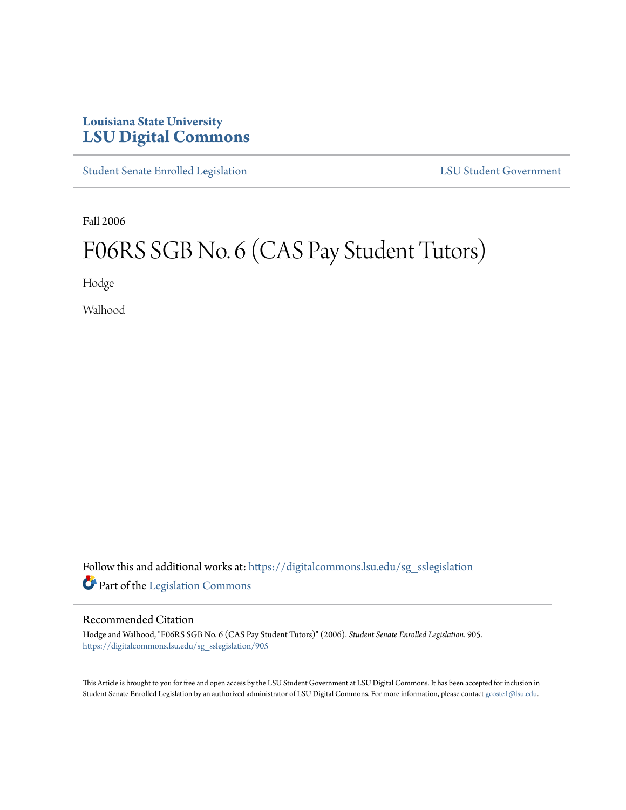## **Louisiana State University [LSU Digital Commons](https://digitalcommons.lsu.edu?utm_source=digitalcommons.lsu.edu%2Fsg_sslegislation%2F905&utm_medium=PDF&utm_campaign=PDFCoverPages)**

[Student Senate Enrolled Legislation](https://digitalcommons.lsu.edu/sg_sslegislation?utm_source=digitalcommons.lsu.edu%2Fsg_sslegislation%2F905&utm_medium=PDF&utm_campaign=PDFCoverPages) [LSU Student Government](https://digitalcommons.lsu.edu/sg?utm_source=digitalcommons.lsu.edu%2Fsg_sslegislation%2F905&utm_medium=PDF&utm_campaign=PDFCoverPages)

Fall 2006

## F06RS SGB No. 6 (CAS Pay Student Tutors)

Hodge

Walhood

Follow this and additional works at: [https://digitalcommons.lsu.edu/sg\\_sslegislation](https://digitalcommons.lsu.edu/sg_sslegislation?utm_source=digitalcommons.lsu.edu%2Fsg_sslegislation%2F905&utm_medium=PDF&utm_campaign=PDFCoverPages) Part of the [Legislation Commons](http://network.bepress.com/hgg/discipline/859?utm_source=digitalcommons.lsu.edu%2Fsg_sslegislation%2F905&utm_medium=PDF&utm_campaign=PDFCoverPages)

## Recommended Citation

Hodge and Walhood, "F06RS SGB No. 6 (CAS Pay Student Tutors)" (2006). *Student Senate Enrolled Legislation*. 905. [https://digitalcommons.lsu.edu/sg\\_sslegislation/905](https://digitalcommons.lsu.edu/sg_sslegislation/905?utm_source=digitalcommons.lsu.edu%2Fsg_sslegislation%2F905&utm_medium=PDF&utm_campaign=PDFCoverPages)

This Article is brought to you for free and open access by the LSU Student Government at LSU Digital Commons. It has been accepted for inclusion in Student Senate Enrolled Legislation by an authorized administrator of LSU Digital Commons. For more information, please contact [gcoste1@lsu.edu.](mailto:gcoste1@lsu.edu)